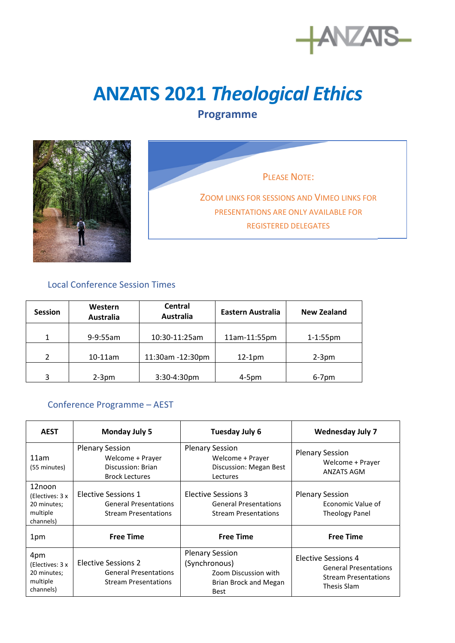

## **ANZATS 2021** *Theological Ethics*

## **Programme**



PLEASE NOTE: ZOOM LINKS FOR SESSIONS AND VIMEO LINKS FOR PRESENTATIONS ARE ONLY AVAILABLE FOR REGISTERED DELEGATES

## Local Conference Session Times

| <b>Session</b> | Western<br>Australia | Central<br>Australia | Eastern Australia | <b>New Zealand</b> |
|----------------|----------------------|----------------------|-------------------|--------------------|
| 1              | 9-9:55am             | 10:30-11:25am        | 11am-11:55pm      | $1 - 1:55$ pm      |
| $\mathfrak{p}$ | $10-11$ am           | 11:30am -12:30pm     | $12-1pm$          | $2-3$ pm           |
| 3              | $2-3pm$              | $3:30-4:30$ pm       | $4-5pm$           | $6-7$ pm           |

## Conference Programme – AEST

| <b>AEST</b>                                                       | <b>Monday July 5</b>                                                                      | Tuesday July 6                                                                                          | <b>Wednesday July 7</b>                                                                                  |
|-------------------------------------------------------------------|-------------------------------------------------------------------------------------------|---------------------------------------------------------------------------------------------------------|----------------------------------------------------------------------------------------------------------|
| 11am<br>(55 minutes)                                              | <b>Plenary Session</b><br>Welcome + Prayer<br>Discussion: Brian<br><b>Brock Lectures</b>  | <b>Plenary Session</b><br>Welcome + Prayer<br>Discussion: Megan Best<br>Lectures                        | <b>Plenary Session</b><br>Welcome + Prayer<br><b>ANZATS AGM</b>                                          |
| 12noon<br>(Electives: 3 x<br>20 minutes;<br>multiple<br>channels) | <b>Elective Sessions 1</b><br><b>General Presentations</b><br><b>Stream Presentations</b> | Elective Sessions 3<br><b>General Presentations</b><br><b>Stream Presentations</b>                      | <b>Plenary Session</b><br>Economic Value of<br><b>Theology Panel</b>                                     |
| 1pm                                                               | <b>Free Time</b>                                                                          | <b>Free Time</b>                                                                                        | <b>Free Time</b>                                                                                         |
| 4pm<br>(Electives: 3 x<br>20 minutes;<br>multiple<br>channels)    | Elective Sessions 2<br><b>General Presentations</b><br><b>Stream Presentations</b>        | <b>Plenary Session</b><br>(Synchronous)<br>Zoom Discussion with<br>Brian Brock and Megan<br><b>Best</b> | <b>Elective Sessions 4</b><br><b>General Presentations</b><br><b>Stream Presentations</b><br>Thesis Slam |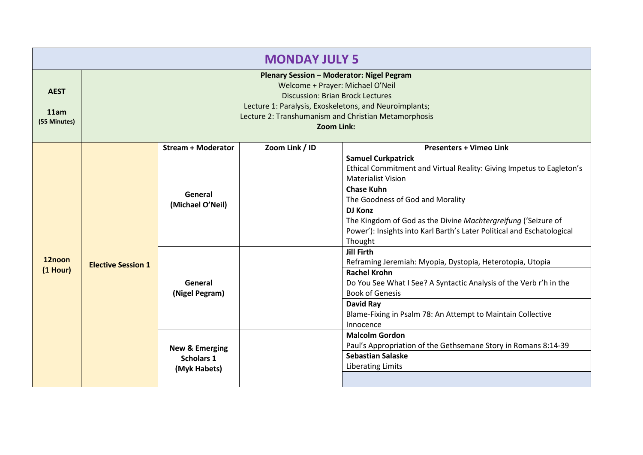| <b>MONDAY JULY 5</b>                |                                                                                                                                                                                                                                                          |                                   |                |                                                                                                                                                     |
|-------------------------------------|----------------------------------------------------------------------------------------------------------------------------------------------------------------------------------------------------------------------------------------------------------|-----------------------------------|----------------|-----------------------------------------------------------------------------------------------------------------------------------------------------|
| <b>AEST</b><br>11am<br>(55 Minutes) | Plenary Session - Moderator: Nigel Pegram<br>Welcome + Prayer: Michael O'Neil<br><b>Discussion: Brian Brock Lectures</b><br>Lecture 1: Paralysis, Exoskeletons, and Neuroimplants;<br>Lecture 2: Transhumanism and Christian Metamorphosis<br>Zoom Link: |                                   |                |                                                                                                                                                     |
|                                     |                                                                                                                                                                                                                                                          | <b>Stream + Moderator</b>         | Zoom Link / ID | <b>Presenters + Vimeo Link</b>                                                                                                                      |
|                                     |                                                                                                                                                                                                                                                          |                                   |                | <b>Samuel Curkpatrick</b><br>Ethical Commitment and Virtual Reality: Giving Impetus to Eagleton's<br><b>Materialist Vision</b><br><b>Chase Kuhn</b> |
|                                     | General                                                                                                                                                                                                                                                  |                                   |                | The Goodness of God and Morality                                                                                                                    |
|                                     |                                                                                                                                                                                                                                                          | (Michael O'Neil)                  |                | <b>DJ Konz</b>                                                                                                                                      |
|                                     |                                                                                                                                                                                                                                                          |                                   |                | The Kingdom of God as the Divine Machtergreifung ('Seizure of                                                                                       |
|                                     |                                                                                                                                                                                                                                                          |                                   |                | Power'): Insights into Karl Barth's Later Political and Eschatological<br>Thought                                                                   |
| 12noon                              | <b>Elective Session 1</b><br>General                                                                                                                                                                                                                     |                                   |                | <b>Jill Firth</b>                                                                                                                                   |
| $(1$ Hour)                          |                                                                                                                                                                                                                                                          |                                   |                | Reframing Jeremiah: Myopia, Dystopia, Heterotopia, Utopia                                                                                           |
|                                     |                                                                                                                                                                                                                                                          | (Nigel Pegram)                    |                | <b>Rachel Krohn</b><br>Do You See What I See? A Syntactic Analysis of the Verb r'h in the<br><b>Book of Genesis</b>                                 |
|                                     |                                                                                                                                                                                                                                                          |                                   |                | <b>David Ray</b>                                                                                                                                    |
|                                     |                                                                                                                                                                                                                                                          |                                   |                | Blame-Fixing in Psalm 78: An Attempt to Maintain Collective                                                                                         |
|                                     |                                                                                                                                                                                                                                                          |                                   |                | Innocence                                                                                                                                           |
|                                     |                                                                                                                                                                                                                                                          |                                   |                | <b>Malcolm Gordon</b><br>Paul's Appropriation of the Gethsemane Story in Romans 8:14-39                                                             |
|                                     |                                                                                                                                                                                                                                                          | <b>New &amp; Emerging</b>         |                | <b>Sebastian Salaske</b>                                                                                                                            |
|                                     |                                                                                                                                                                                                                                                          | <b>Scholars 1</b><br>(Myk Habets) |                | <b>Liberating Limits</b>                                                                                                                            |
|                                     |                                                                                                                                                                                                                                                          |                                   |                |                                                                                                                                                     |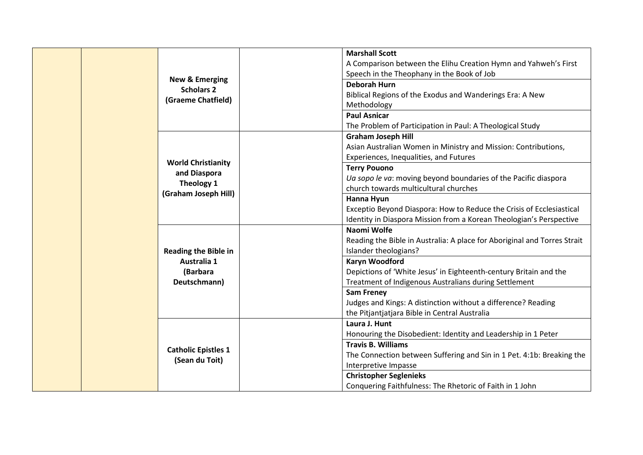|  | <b>New &amp; Emerging</b><br><b>Scholars 2</b><br>(Graeme Chatfield)                   | <b>Marshall Scott</b><br>A Comparison between the Elihu Creation Hymn and Yahweh's First<br>Speech in the Theophany in the Book of Job<br><b>Deborah Hurn</b><br>Biblical Regions of the Exodus and Wanderings Era: A New<br>Methodology<br><b>Paul Asnicar</b><br>The Problem of Participation in Paul: A Theological Study                                                                                                          |
|--|----------------------------------------------------------------------------------------|---------------------------------------------------------------------------------------------------------------------------------------------------------------------------------------------------------------------------------------------------------------------------------------------------------------------------------------------------------------------------------------------------------------------------------------|
|  | <b>World Christianity</b><br>and Diaspora<br><b>Theology 1</b><br>(Graham Joseph Hill) | <b>Graham Joseph Hill</b><br>Asian Australian Women in Ministry and Mission: Contributions,<br>Experiences, Inequalities, and Futures<br><b>Terry Pouono</b><br>Ua sopo le va: moving beyond boundaries of the Pacific diaspora<br>church towards multicultural churches<br>Hanna Hyun<br>Exceptio Beyond Diaspora: How to Reduce the Crisis of Ecclesiastical<br>Identity in Diaspora Mission from a Korean Theologian's Perspective |
|  | <b>Reading the Bible in</b><br>Australia 1<br>(Barbara<br>Deutschmann)                 | Naomi Wolfe<br>Reading the Bible in Australia: A place for Aboriginal and Torres Strait<br>Islander theologians?<br>Karyn Woodford<br>Depictions of 'White Jesus' in Eighteenth-century Britain and the<br>Treatment of Indigenous Australians during Settlement<br><b>Sam Freney</b><br>Judges and Kings: A distinction without a difference? Reading<br>the Pitjantjatjara Bible in Central Australia                               |
|  | <b>Catholic Epistles 1</b><br>(Sean du Toit)                                           | Laura J. Hunt<br>Honouring the Disobedient: Identity and Leadership in 1 Peter<br><b>Travis B. Williams</b><br>The Connection between Suffering and Sin in 1 Pet. 4:1b: Breaking the<br>Interpretive Impasse<br><b>Christopher Seglenieks</b><br>Conquering Faithfulness: The Rhetoric of Faith in 1 John                                                                                                                             |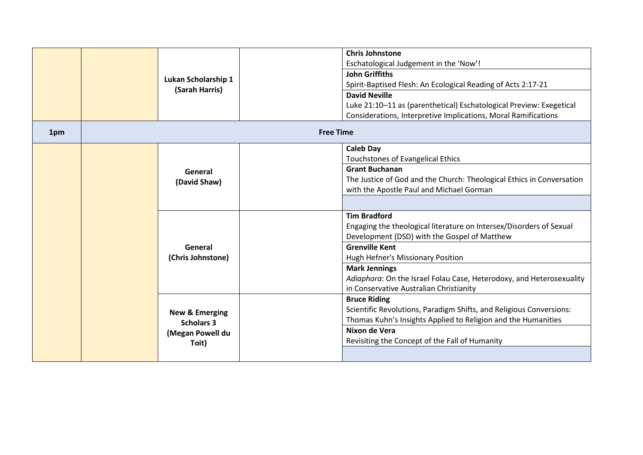| 1pm | Lukan Scholarship 1<br>(Sarah Harris)                                       | <b>Chris Johnstone</b><br>Eschatological Judgement in the 'Now'!<br><b>John Griffiths</b><br>Spirit-Baptised Flesh: An Ecological Reading of Acts 2:17-21<br><b>David Neville</b><br>Luke 21:10-11 as (parenthetical) Eschatological Preview: Exegetical<br>Considerations, Interpretive Implications, Moral Ramifications<br><b>Free Time</b>      |
|-----|-----------------------------------------------------------------------------|-----------------------------------------------------------------------------------------------------------------------------------------------------------------------------------------------------------------------------------------------------------------------------------------------------------------------------------------------------|
|     | General<br>(David Shaw)                                                     | <b>Caleb Day</b><br>Touchstones of Evangelical Ethics<br><b>Grant Buchanan</b><br>The Justice of God and the Church: Theological Ethics in Conversation<br>with the Apostle Paul and Michael Gorman                                                                                                                                                 |
|     | General<br>(Chris Johnstone)                                                | <b>Tim Bradford</b><br>Engaging the theological literature on Intersex/Disorders of Sexual<br>Development (DSD) with the Gospel of Matthew<br><b>Grenville Kent</b><br>Hugh Hefner's Missionary Position<br><b>Mark Jennings</b><br>Adiaphora: On the Israel Folau Case, Heterodoxy, and Heterosexuality<br>in Conservative Australian Christianity |
|     | <b>New &amp; Emerging</b><br><b>Scholars 3</b><br>(Megan Powell du<br>Toit) | <b>Bruce Riding</b><br>Scientific Revolutions, Paradigm Shifts, and Religious Conversions:<br>Thomas Kuhn's Insights Applied to Religion and the Humanities<br>Nixon de Vera<br>Revisiting the Concept of the Fall of Humanity                                                                                                                      |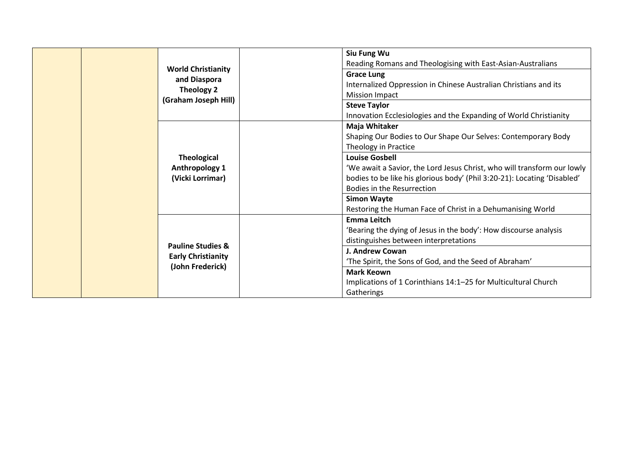|                              | Siu Fung Wu                                                              |
|------------------------------|--------------------------------------------------------------------------|
| <b>World Christianity</b>    | Reading Romans and Theologising with East-Asian-Australians              |
| and Diaspora                 | <b>Grace Lung</b>                                                        |
| Theology 2                   | Internalized Oppression in Chinese Australian Christians and its         |
| (Graham Joseph Hill)         | <b>Mission Impact</b>                                                    |
|                              | <b>Steve Taylor</b>                                                      |
|                              | Innovation Ecclesiologies and the Expanding of World Christianity        |
|                              | Maja Whitaker                                                            |
|                              | Shaping Our Bodies to Our Shape Our Selves: Contemporary Body            |
|                              | Theology in Practice                                                     |
| <b>Theological</b>           | <b>Louise Gosbell</b>                                                    |
| Anthropology 1               | 'We await a Savior, the Lord Jesus Christ, who will transform our lowly  |
| (Vicki Lorrimar)             | bodies to be like his glorious body' (Phil 3:20-21): Locating 'Disabled' |
|                              | Bodies in the Resurrection                                               |
|                              | <b>Simon Wayte</b>                                                       |
|                              | Restoring the Human Face of Christ in a Dehumanising World               |
|                              | <b>Emma Leitch</b>                                                       |
|                              | 'Bearing the dying of Jesus in the body': How discourse analysis         |
|                              | distinguishes between interpretations                                    |
| <b>Pauline Studies &amp;</b> | J. Andrew Cowan                                                          |
| <b>Early Christianity</b>    | 'The Spirit, the Sons of God, and the Seed of Abraham'                   |
| (John Frederick)             | <b>Mark Keown</b>                                                        |
|                              | Implications of 1 Corinthians 14:1-25 for Multicultural Church           |
|                              | Gatherings                                                               |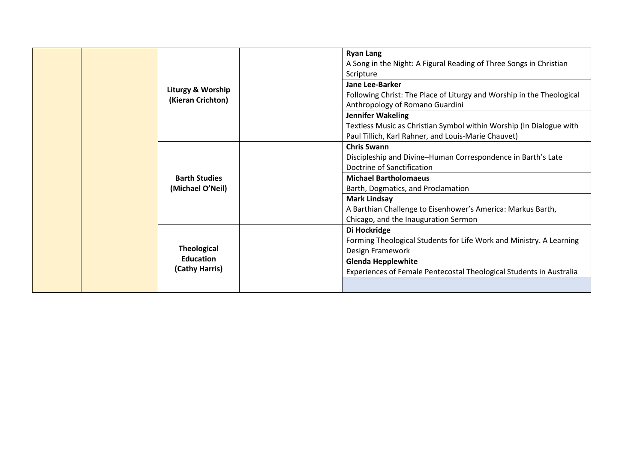| Liturgy & Worship<br>(Kieran Crichton)                   | <b>Ryan Lang</b><br>A Song in the Night: A Figural Reading of Three Songs in Christian<br>Scripture<br>Jane Lee-Barker<br>Following Christ: The Place of Liturgy and Worship in the Theological<br>Anthropology of Romano Guardini<br>Jennifer Wakeling<br>Textless Music as Christian Symbol within Worship (In Dialogue with<br>Paul Tillich, Karl Rahner, and Louis-Marie Chauvet) |
|----------------------------------------------------------|---------------------------------------------------------------------------------------------------------------------------------------------------------------------------------------------------------------------------------------------------------------------------------------------------------------------------------------------------------------------------------------|
| <b>Barth Studies</b><br>(Michael O'Neil)                 | <b>Chris Swann</b><br>Discipleship and Divine-Human Correspondence in Barth's Late<br>Doctrine of Sanctification<br><b>Michael Bartholomaeus</b><br>Barth, Dogmatics, and Proclamation<br><b>Mark Lindsay</b><br>A Barthian Challenge to Eisenhower's America: Markus Barth,<br>Chicago, and the Inauguration Sermon                                                                  |
| <b>Theological</b><br><b>Education</b><br>(Cathy Harris) | Di Hockridge<br>Forming Theological Students for Life Work and Ministry. A Learning<br>Design Framework<br><b>Glenda Hepplewhite</b><br>Experiences of Female Pentecostal Theological Students in Australia                                                                                                                                                                           |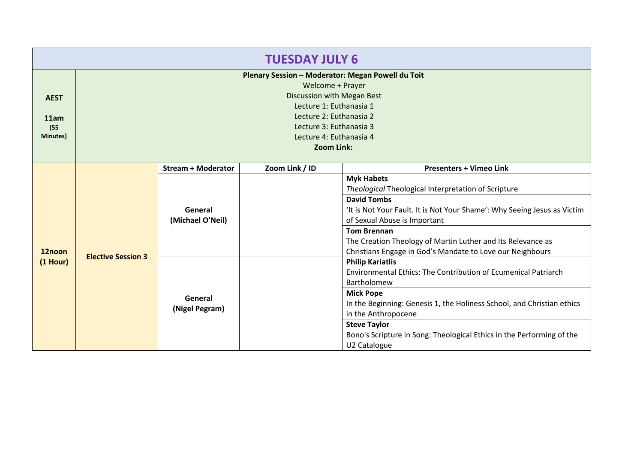| <b>TUESDAY JULY 6</b> |                                                   |                           |                            |                                                                                                                                                                                                                                                                                                                                                                                                                                                           |  |
|-----------------------|---------------------------------------------------|---------------------------|----------------------------|-----------------------------------------------------------------------------------------------------------------------------------------------------------------------------------------------------------------------------------------------------------------------------------------------------------------------------------------------------------------------------------------------------------------------------------------------------------|--|
|                       | Plenary Session - Moderator: Megan Powell du Toit |                           |                            |                                                                                                                                                                                                                                                                                                                                                                                                                                                           |  |
|                       | Welcome + Prayer                                  |                           |                            |                                                                                                                                                                                                                                                                                                                                                                                                                                                           |  |
| <b>AEST</b>           |                                                   |                           | Discussion with Megan Best |                                                                                                                                                                                                                                                                                                                                                                                                                                                           |  |
|                       |                                                   |                           | Lecture 1: Euthanasia 1    |                                                                                                                                                                                                                                                                                                                                                                                                                                                           |  |
| 11am                  |                                                   |                           | Lecture 2: Euthanasia 2    |                                                                                                                                                                                                                                                                                                                                                                                                                                                           |  |
| (55)                  |                                                   |                           | Lecture 3: Euthanasia 3    |                                                                                                                                                                                                                                                                                                                                                                                                                                                           |  |
| <b>Minutes)</b>       |                                                   |                           |                            |                                                                                                                                                                                                                                                                                                                                                                                                                                                           |  |
|                       |                                                   |                           |                            |                                                                                                                                                                                                                                                                                                                                                                                                                                                           |  |
|                       |                                                   | <b>Stream + Moderator</b> | Zoom Link / ID             |                                                                                                                                                                                                                                                                                                                                                                                                                                                           |  |
|                       |                                                   |                           |                            |                                                                                                                                                                                                                                                                                                                                                                                                                                                           |  |
|                       |                                                   |                           |                            | Theological Theological Interpretation of Scripture                                                                                                                                                                                                                                                                                                                                                                                                       |  |
|                       |                                                   |                           |                            | <b>David Tombs</b><br>'It is Not Your Fault. It is Not Your Shame': Why Seeing Jesus as Victim<br>of Sexual Abuse is Important                                                                                                                                                                                                                                                                                                                            |  |
|                       |                                                   | General                   |                            |                                                                                                                                                                                                                                                                                                                                                                                                                                                           |  |
|                       |                                                   | (Michael O'Neil)          |                            |                                                                                                                                                                                                                                                                                                                                                                                                                                                           |  |
|                       |                                                   |                           |                            | <b>Tom Brennan</b>                                                                                                                                                                                                                                                                                                                                                                                                                                        |  |
|                       |                                                   |                           |                            | Lecture 4: Euthanasia 4<br>Zoom Link:<br><b>Presenters + Vimeo Link</b><br><b>Myk Habets</b><br>The Creation Theology of Martin Luther and Its Relevance as<br>Christians Engage in God's Mandate to Love our Neighbours<br><b>Philip Kariatlis</b><br>Environmental Ethics: The Contribution of Ecumenical Patriarch<br>Bartholomew<br><b>Mick Pope</b><br>In the Beginning: Genesis 1, the Holiness School, and Christian ethics<br>in the Anthropocene |  |
| 12noon                | <b>Elective Session 3</b>                         |                           |                            |                                                                                                                                                                                                                                                                                                                                                                                                                                                           |  |
| $(1$ Hour)            |                                                   |                           |                            |                                                                                                                                                                                                                                                                                                                                                                                                                                                           |  |
|                       |                                                   |                           |                            |                                                                                                                                                                                                                                                                                                                                                                                                                                                           |  |
|                       |                                                   |                           |                            |                                                                                                                                                                                                                                                                                                                                                                                                                                                           |  |
|                       |                                                   | General                   |                            |                                                                                                                                                                                                                                                                                                                                                                                                                                                           |  |
|                       |                                                   | (Nigel Pegram)            |                            |                                                                                                                                                                                                                                                                                                                                                                                                                                                           |  |
|                       |                                                   |                           |                            |                                                                                                                                                                                                                                                                                                                                                                                                                                                           |  |
|                       |                                                   |                           |                            | <b>Steve Taylor</b>                                                                                                                                                                                                                                                                                                                                                                                                                                       |  |
|                       |                                                   |                           |                            | Bono's Scripture in Song: Theological Ethics in the Performing of the                                                                                                                                                                                                                                                                                                                                                                                     |  |
|                       |                                                   |                           |                            | U2 Catalogue                                                                                                                                                                                                                                                                                                                                                                                                                                              |  |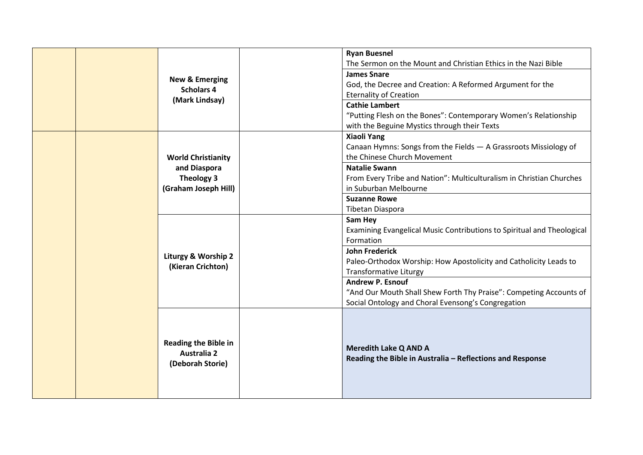|  |  |                                                                       | <b>Ryan Buesnel</b><br>The Sermon on the Mount and Christian Ethics in the Nazi Bible                                                                                                                                                                                                                                                                                                                                                                                                                                                                                                                                                                       |  |
|--|--|-----------------------------------------------------------------------|-------------------------------------------------------------------------------------------------------------------------------------------------------------------------------------------------------------------------------------------------------------------------------------------------------------------------------------------------------------------------------------------------------------------------------------------------------------------------------------------------------------------------------------------------------------------------------------------------------------------------------------------------------------|--|
|  |  |                                                                       | <b>James Snare</b>                                                                                                                                                                                                                                                                                                                                                                                                                                                                                                                                                                                                                                          |  |
|  |  | <b>New &amp; Emerging</b><br><b>Scholars 4</b>                        | God, the Decree and Creation: A Reformed Argument for the                                                                                                                                                                                                                                                                                                                                                                                                                                                                                                                                                                                                   |  |
|  |  | (Mark Lindsay)                                                        | <b>Eternality of Creation</b>                                                                                                                                                                                                                                                                                                                                                                                                                                                                                                                                                                                                                               |  |
|  |  |                                                                       | <b>Cathie Lambert</b>                                                                                                                                                                                                                                                                                                                                                                                                                                                                                                                                                                                                                                       |  |
|  |  |                                                                       | "Putting Flesh on the Bones": Contemporary Women's Relationship                                                                                                                                                                                                                                                                                                                                                                                                                                                                                                                                                                                             |  |
|  |  |                                                                       | with the Beguine Mystics through their Texts                                                                                                                                                                                                                                                                                                                                                                                                                                                                                                                                                                                                                |  |
|  |  |                                                                       | <b>Xiaoli Yang</b>                                                                                                                                                                                                                                                                                                                                                                                                                                                                                                                                                                                                                                          |  |
|  |  |                                                                       |                                                                                                                                                                                                                                                                                                                                                                                                                                                                                                                                                                                                                                                             |  |
|  |  | <b>World Christianity</b>                                             |                                                                                                                                                                                                                                                                                                                                                                                                                                                                                                                                                                                                                                                             |  |
|  |  | and Diaspora                                                          |                                                                                                                                                                                                                                                                                                                                                                                                                                                                                                                                                                                                                                                             |  |
|  |  | Theology 3                                                            |                                                                                                                                                                                                                                                                                                                                                                                                                                                                                                                                                                                                                                                             |  |
|  |  | (Graham Joseph Hill)                                                  |                                                                                                                                                                                                                                                                                                                                                                                                                                                                                                                                                                                                                                                             |  |
|  |  |                                                                       |                                                                                                                                                                                                                                                                                                                                                                                                                                                                                                                                                                                                                                                             |  |
|  |  |                                                                       |                                                                                                                                                                                                                                                                                                                                                                                                                                                                                                                                                                                                                                                             |  |
|  |  |                                                                       |                                                                                                                                                                                                                                                                                                                                                                                                                                                                                                                                                                                                                                                             |  |
|  |  |                                                                       |                                                                                                                                                                                                                                                                                                                                                                                                                                                                                                                                                                                                                                                             |  |
|  |  |                                                                       |                                                                                                                                                                                                                                                                                                                                                                                                                                                                                                                                                                                                                                                             |  |
|  |  | Liturgy & Worship 2                                                   |                                                                                                                                                                                                                                                                                                                                                                                                                                                                                                                                                                                                                                                             |  |
|  |  | (Kieran Crichton)                                                     |                                                                                                                                                                                                                                                                                                                                                                                                                                                                                                                                                                                                                                                             |  |
|  |  |                                                                       |                                                                                                                                                                                                                                                                                                                                                                                                                                                                                                                                                                                                                                                             |  |
|  |  |                                                                       |                                                                                                                                                                                                                                                                                                                                                                                                                                                                                                                                                                                                                                                             |  |
|  |  |                                                                       | Canaan Hymns: Songs from the Fields - A Grassroots Missiology of<br>the Chinese Church Movement<br><b>Natalie Swann</b><br>From Every Tribe and Nation": Multiculturalism in Christian Churches<br>in Suburban Melbourne<br><b>Suzanne Rowe</b><br>Tibetan Diaspora<br>Sam Hey<br>Examining Evangelical Music Contributions to Spiritual and Theological<br>Formation<br><b>John Frederick</b><br>Paleo-Orthodox Worship: How Apostolicity and Catholicity Leads to<br><b>Transformative Liturgy</b><br><b>Andrew P. Esnouf</b><br>"And Our Mouth Shall Shew Forth Thy Praise": Competing Accounts of<br>Social Ontology and Choral Evensong's Congregation |  |
|  |  |                                                                       |                                                                                                                                                                                                                                                                                                                                                                                                                                                                                                                                                                                                                                                             |  |
|  |  | <b>Reading the Bible in</b><br><b>Australia 2</b><br>(Deborah Storie) | <b>Meredith Lake Q AND A</b><br>Reading the Bible in Australia - Reflections and Response                                                                                                                                                                                                                                                                                                                                                                                                                                                                                                                                                                   |  |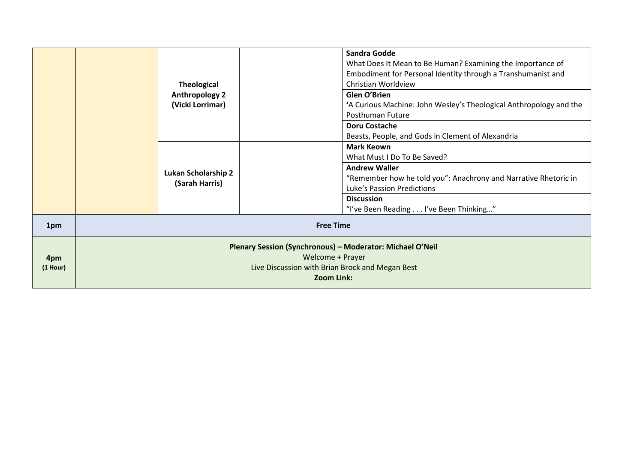|                   | <b>Theological</b><br><b>Anthropology 2</b><br>(Vicki Lorrimar)                                                                                       | <b>Sandra Godde</b><br>What Does It Mean to Be Human? Examining the Importance of<br>Embodiment for Personal Identity through a Transhumanist and<br>Christian Worldview<br>Glen O'Brien<br>'A Curious Machine: John Wesley's Theological Anthropology and the<br>Posthuman Future<br><b>Doru Costache</b><br>Beasts, People, and Gods in Clement of Alexandria<br><b>Mark Keown</b> |  |
|-------------------|-------------------------------------------------------------------------------------------------------------------------------------------------------|--------------------------------------------------------------------------------------------------------------------------------------------------------------------------------------------------------------------------------------------------------------------------------------------------------------------------------------------------------------------------------------|--|
|                   | Lukan Scholarship 2<br>(Sarah Harris)                                                                                                                 | What Must I Do To Be Saved?<br><b>Andrew Waller</b><br>"Remember how he told you": Anachrony and Narrative Rhetoric in<br>Luke's Passion Predictions<br><b>Discussion</b><br>"I've Been Reading I've Been Thinking"                                                                                                                                                                  |  |
| 1pm               | <b>Free Time</b>                                                                                                                                      |                                                                                                                                                                                                                                                                                                                                                                                      |  |
| 4pm<br>$(1$ Hour) | Plenary Session (Synchronous) - Moderator: Michael O'Neil<br>Welcome + Prayer<br>Live Discussion with Brian Brock and Megan Best<br><b>Zoom Link:</b> |                                                                                                                                                                                                                                                                                                                                                                                      |  |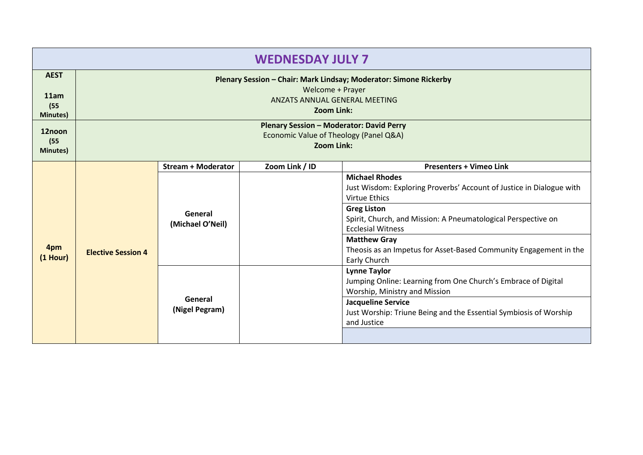| <b>WEDNESDAY JULY 7</b>     |                                                                                                                        |                             |                   |                                                                                                                                                                                                                                        |
|-----------------------------|------------------------------------------------------------------------------------------------------------------------|-----------------------------|-------------------|----------------------------------------------------------------------------------------------------------------------------------------------------------------------------------------------------------------------------------------|
| <b>AEST</b><br>11am<br>(55) | Plenary Session - Chair: Mark Lindsay; Moderator: Simone Rickerby<br>Welcome + Prayer<br>ANZATS ANNUAL GENERAL MEETING |                             |                   |                                                                                                                                                                                                                                        |
| <b>Minutes</b> )            |                                                                                                                        |                             | <b>Zoom Link:</b> |                                                                                                                                                                                                                                        |
| 12noon<br>(55)<br>Minutes)  | <b>Plenary Session - Moderator: David Perry</b><br>Economic Value of Theology (Panel Q&A)<br>Zoom Link:                |                             |                   |                                                                                                                                                                                                                                        |
|                             |                                                                                                                        | <b>Stream + Moderator</b>   | Zoom Link / ID    | <b>Presenters + Vimeo Link</b>                                                                                                                                                                                                         |
|                             |                                                                                                                        | General<br>(Michael O'Neil) |                   | <b>Michael Rhodes</b><br>Just Wisdom: Exploring Proverbs' Account of Justice in Dialogue with<br>Virtue Ethics<br><b>Greg Liston</b><br>Spirit, Church, and Mission: A Pneumatological Perspective on<br><b>Ecclesial Witness</b>      |
| 4pm<br>$(1$ Hour)           | <b>Elective Session 4</b>                                                                                              |                             |                   | <b>Matthew Gray</b><br>Theosis as an Impetus for Asset-Based Community Engagement in the<br>Early Church                                                                                                                               |
|                             |                                                                                                                        | General<br>(Nigel Pegram)   |                   | <b>Lynne Taylor</b><br>Jumping Online: Learning from One Church's Embrace of Digital<br>Worship, Ministry and Mission<br><b>Jacqueline Service</b><br>Just Worship: Triune Being and the Essential Symbiosis of Worship<br>and Justice |
|                             |                                                                                                                        |                             |                   |                                                                                                                                                                                                                                        |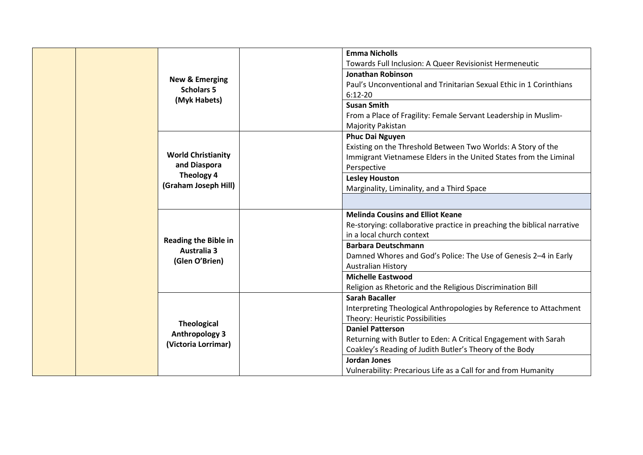|  |                                                   | <b>Emma Nicholls</b>                                                    |
|--|---------------------------------------------------|-------------------------------------------------------------------------|
|  |                                                   | Towards Full Inclusion: A Queer Revisionist Hermeneutic                 |
|  | <b>New &amp; Emerging</b>                         | <b>Jonathan Robinson</b>                                                |
|  | <b>Scholars 5</b>                                 | Paul's Unconventional and Trinitarian Sexual Ethic in 1 Corinthians     |
|  | (Myk Habets)                                      | $6:12 - 20$                                                             |
|  |                                                   | <b>Susan Smith</b>                                                      |
|  |                                                   | From a Place of Fragility: Female Servant Leadership in Muslim-         |
|  |                                                   | Majority Pakistan                                                       |
|  |                                                   | <b>Phuc Dai Nguyen</b>                                                  |
|  |                                                   | Existing on the Threshold Between Two Worlds: A Story of the            |
|  | <b>World Christianity</b>                         | Immigrant Vietnamese Elders in the United States from the Liminal       |
|  | and Diaspora                                      | Perspective                                                             |
|  | Theology 4                                        | <b>Lesley Houston</b>                                                   |
|  | (Graham Joseph Hill)                              | Marginality, Liminality, and a Third Space                              |
|  |                                                   |                                                                         |
|  |                                                   | <b>Melinda Cousins and Elliot Keane</b>                                 |
|  |                                                   | Re-storying: collaborative practice in preaching the biblical narrative |
|  |                                                   | in a local church context                                               |
|  | <b>Reading the Bible in</b><br><b>Australia 3</b> | <b>Barbara Deutschmann</b>                                              |
|  |                                                   | Damned Whores and God's Police: The Use of Genesis 2-4 in Early         |
|  | (Glen O'Brien)                                    | <b>Australian History</b>                                               |
|  |                                                   | <b>Michelle Eastwood</b>                                                |
|  |                                                   | Religion as Rhetoric and the Religious Discrimination Bill              |
|  |                                                   | <b>Sarah Bacaller</b>                                                   |
|  |                                                   | Interpreting Theological Anthropologies by Reference to Attachment      |
|  |                                                   | Theory: Heuristic Possibilities                                         |
|  | <b>Theological</b>                                | <b>Daniel Patterson</b>                                                 |
|  | <b>Anthropology 3</b>                             | Returning with Butler to Eden: A Critical Engagement with Sarah         |
|  | (Victoria Lorrimar)                               | Coakley's Reading of Judith Butler's Theory of the Body                 |
|  |                                                   | <b>Jordan Jones</b>                                                     |
|  |                                                   | Vulnerability: Precarious Life as a Call for and from Humanity          |